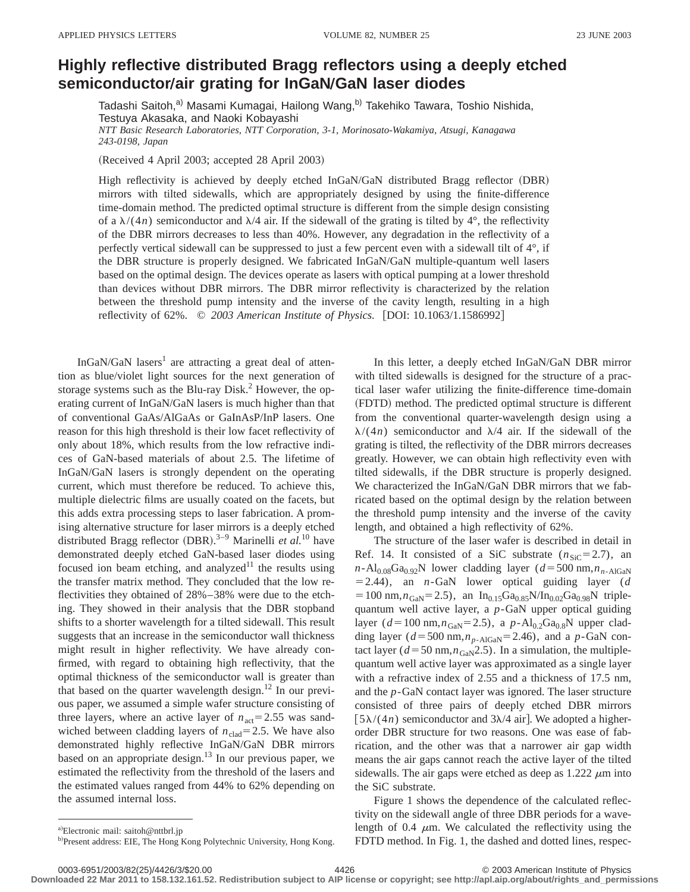## **Highly reflective distributed Bragg reflectors using a deeply etched semiconductorÕair grating for InGaNÕGaN laser diodes**

Tadashi Saitoh,<sup>a)</sup> Masami Kumagai, Hailong Wang,<sup>b)</sup> Takehiko Tawara, Toshio Nishida, Testuya Akasaka, and Naoki Kobayashi *NTT Basic Research Laboratories, NTT Corporation, 3-1, Morinosato-Wakamiya, Atsugi, Kanagawa 243-0198, Japan*

(Received 4 April 2003; accepted 28 April 2003)

High reflectivity is achieved by deeply etched InGaN/GaN distributed Bragg reflector (DBR) mirrors with tilted sidewalls, which are appropriately designed by using the finite-difference time-domain method. The predicted optimal structure is different from the simple design consisting of a  $\lambda/(4n)$  semiconductor and  $\lambda/4$  air. If the sidewall of the grating is tilted by 4°, the reflectivity of the DBR mirrors decreases to less than 40%. However, any degradation in the reflectivity of a perfectly vertical sidewall can be suppressed to just a few percent even with a sidewall tilt of 4°, if the DBR structure is properly designed. We fabricated InGaN/GaN multiple-quantum well lasers based on the optimal design. The devices operate as lasers with optical pumping at a lower threshold than devices without DBR mirrors. The DBR mirror reflectivity is characterized by the relation between the threshold pump intensity and the inverse of the cavity length, resulting in a high reflectivity of 62%. © 2003 American Institute of Physics. [DOI: 10.1063/1.1586992]

InGaN/GaN lasers<sup>1</sup> are attracting a great deal of attention as blue/violet light sources for the next generation of storage systems such as the Blu-ray Disk.<sup>2</sup> However, the operating current of InGaN/GaN lasers is much higher than that of conventional GaAs/AlGaAs or GaInAsP/InP lasers. One reason for this high threshold is their low facet reflectivity of only about 18%, which results from the low refractive indices of GaN-based materials of about 2.5. The lifetime of InGaN/GaN lasers is strongly dependent on the operating current, which must therefore be reduced. To achieve this, multiple dielectric films are usually coated on the facets, but this adds extra processing steps to laser fabrication. A promising alternative structure for laser mirrors is a deeply etched distributed Bragg reflector (DBR).<sup>3-9</sup> Marinelli *et al.*<sup>10</sup> have demonstrated deeply etched GaN-based laser diodes using focused ion beam etching, and analyzed<sup>11</sup> the results using the transfer matrix method. They concluded that the low reflectivities they obtained of 28%–38% were due to the etching. They showed in their analysis that the DBR stopband shifts to a shorter wavelength for a tilted sidewall. This result suggests that an increase in the semiconductor wall thickness might result in higher reflectivity. We have already confirmed, with regard to obtaining high reflectivity, that the optimal thickness of the semiconductor wall is greater than that based on the quarter wavelength design.<sup>12</sup> In our previous paper, we assumed a simple wafer structure consisting of three layers, where an active layer of  $n_{\text{act}}=2.55$  was sandwiched between cladding layers of  $n_{\text{clad}}=2.5$ . We have also demonstrated highly reflective InGaN/GaN DBR mirrors based on an appropriate design.<sup>13</sup> In our previous paper, we estimated the reflectivity from the threshold of the lasers and the estimated values ranged from 44% to 62% depending on the assumed internal loss.

The structure of the laser wafer is described in detail in Ref. 14. It consisted of a SiC substrate  $(n_{\text{SiC}}=2.7)$ , an  $n$ -Al<sub>0.08</sub>Ga<sub>0.92</sub>N lower cladding layer ( $d = 500$  nm, $n_{n-AIGaN}$  $=$  2.44), an *n*-GaN lower optical guiding layer (*d*  $=100$  nm, $n_{\text{GaN}}=2.5$ ), an In<sub>0.15</sub>Ga<sub>0.85</sub>N/In<sub>0.02</sub>Ga<sub>0.98</sub>N triplequantum well active layer, a *p*-GaN upper optical guiding layer ( $d=100$  nm, $n_{\text{GaN}}=2.5$ ), a  $p-\text{Al}_{0.2}\text{Ga}_{0.8}\text{N}$  upper cladding layer ( $d = 500$  nm, $n_{p-AdGaN} = 2.46$ ), and a  $p-GaN$  contact layer ( $d = 50$  nm, $n_{\text{GaN}}$ 2.5). In a simulation, the multiplequantum well active layer was approximated as a single layer with a refractive index of 2.55 and a thickness of 17.5 nm, and the *p*-GaN contact layer was ignored. The laser structure consisted of three pairs of deeply etched DBR mirrors  $\lceil 5\lambda/(4n)$  semiconductor and  $3\lambda/4$  air]. We adopted a higherorder DBR structure for two reasons. One was ease of fabrication, and the other was that a narrower air gap width means the air gaps cannot reach the active layer of the tilted sidewalls. The air gaps were etched as deep as  $1.222 \mu m$  into the SiC substrate.

Figure 1 shows the dependence of the calculated reflectivity on the sidewall angle of three DBR periods for a wavelength of 0.4  $\mu$ m. We calculated the reflectivity using the FDTD method. In Fig. 1, the dashed and dotted lines, respec-

**Downloaded 22 Mar 2011 to 158.132.161.52. Redistribution subject to AIP license or copyright; see http://apl.aip.org/about/rights\_and\_permissions**

In this letter, a deeply etched InGaN/GaN DBR mirror with tilted sidewalls is designed for the structure of a practical laser wafer utilizing the finite-difference time-domain ~FDTD! method. The predicted optimal structure is different from the conventional quarter-wavelength design using a  $\lambda/(4n)$  semiconductor and  $\lambda/4$  air. If the sidewall of the grating is tilted, the reflectivity of the DBR mirrors decreases greatly. However, we can obtain high reflectivity even with tilted sidewalls, if the DBR structure is properly designed. We characterized the InGaN/GaN DBR mirrors that we fabricated based on the optimal design by the relation between the threshold pump intensity and the inverse of the cavity length, and obtained a high reflectivity of 62%.

a)Electronic mail: saitoh@nttbrl.jp

b)Present address: EIE, The Hong Kong Polytechnic University, Hong Kong.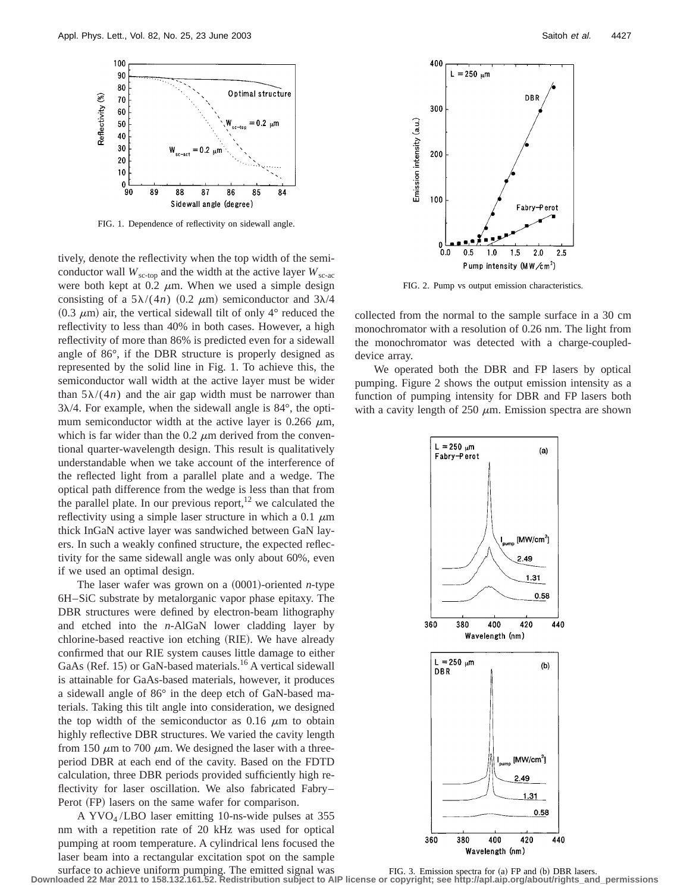

FIG. 1. Dependence of reflectivity on sidewall angle.

tively, denote the reflectivity when the top width of the semiconductor wall  $W_{\text{sc-top}}$  and the width at the active layer  $W_{\text{sc-ac}}$ were both kept at 0.2  $\mu$ m. When we used a simple design consisting of a  $5\lambda/(4n)$  (0.2  $\mu$ m) semiconductor and  $3\lambda/4$  $(0.3 \mu m)$  air, the vertical sidewall tilt of only 4° reduced the reflectivity to less than 40% in both cases. However, a high reflectivity of more than 86% is predicted even for a sidewall angle of 86°, if the DBR structure is properly designed as represented by the solid line in Fig. 1. To achieve this, the semiconductor wall width at the active layer must be wider than  $5\lambda/(4n)$  and the air gap width must be narrower than  $3\lambda/4$ . For example, when the sidewall angle is  $84^\circ$ , the optimum semiconductor width at the active layer is 0.266  $\mu$ m, which is far wider than the  $0.2 \mu m$  derived from the conventional quarter-wavelength design. This result is qualitatively understandable when we take account of the interference of the reflected light from a parallel plate and a wedge. The optical path difference from the wedge is less than that from the parallel plate. In our previous report,  $12$  we calculated the reflectivity using a simple laser structure in which a 0.1  $\mu$ m thick InGaN active layer was sandwiched between GaN layers. In such a weakly confined structure, the expected reflectivity for the same sidewall angle was only about 60%, even if we used an optimal design.

The laser wafer was grown on a  $(0001)$ -oriented *n*-type 6H–SiC substrate by metalorganic vapor phase epitaxy. The DBR structures were defined by electron-beam lithography and etched into the *n*-AlGaN lower cladding layer by chlorine-based reactive ion etching (RIE). We have already confirmed that our RIE system causes little damage to either GaAs (Ref. 15) or GaN-based materials.<sup>16</sup> A vertical sidewall is attainable for GaAs-based materials, however, it produces a sidewall angle of 86° in the deep etch of GaN-based materials. Taking this tilt angle into consideration, we designed the top width of the semiconductor as  $0.16 \mu m$  to obtain highly reflective DBR structures. We varied the cavity length from 150  $\mu$ m to 700  $\mu$ m. We designed the laser with a threeperiod DBR at each end of the cavity. Based on the FDTD calculation, three DBR periods provided sufficiently high reflectivity for laser oscillation. We also fabricated Fabry– Perot (FP) lasers on the same wafer for comparison.

A  $\text{YVO}_4/\text{LBO}$  laser emitting 10-ns-wide pulses at 355 nm with a repetition rate of 20 kHz was used for optical pumping at room temperature. A cylindrical lens focused the laser beam into a rectangular excitation spot on the sample surface to achieve uniform pumping. The emitted signal was



FIG. 2. Pump vs output emission characteristics.

collected from the normal to the sample surface in a 30 cm monochromator with a resolution of 0.26 nm. The light from the monochromator was detected with a charge-coupleddevice array.

We operated both the DBR and FP lasers by optical pumping. Figure 2 shows the output emission intensity as a function of pumping intensity for DBR and FP lasers both with a cavity length of  $250 \mu m$ . Emission spectra are shown



FIG. 3. Emission spectra for  $(a)$  FP and  $(b)$  DBR lasers. **Downloaded 22 Mar 2011 to 158.132.161.52. Redistribution subject to AIP license or copyright; see http://apl.aip.org/about/rights\_and\_permissions**